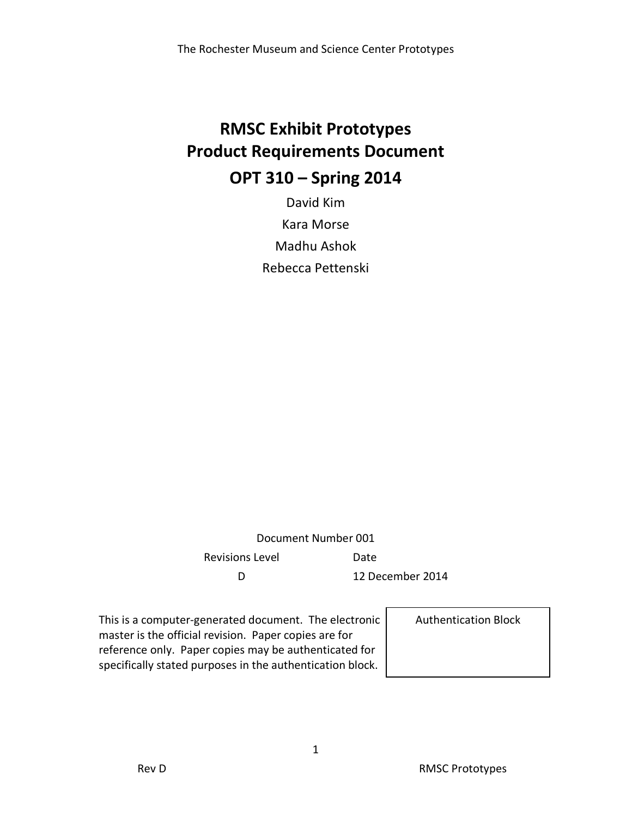# **RMSC Exhibit Prototypes Product Requirements Document OPT 310 – Spring 2014**

David Kim Kara Morse Madhu Ashok Rebecca Pettenski

Document Number 001 Revisions Level **Date** D 12 December 2014

This is a computer-generated document. The electronic master is the official revision. Paper copies are for reference only. Paper copies may be authenticated for specifically stated purposes in the authentication block.

Authentication Block

1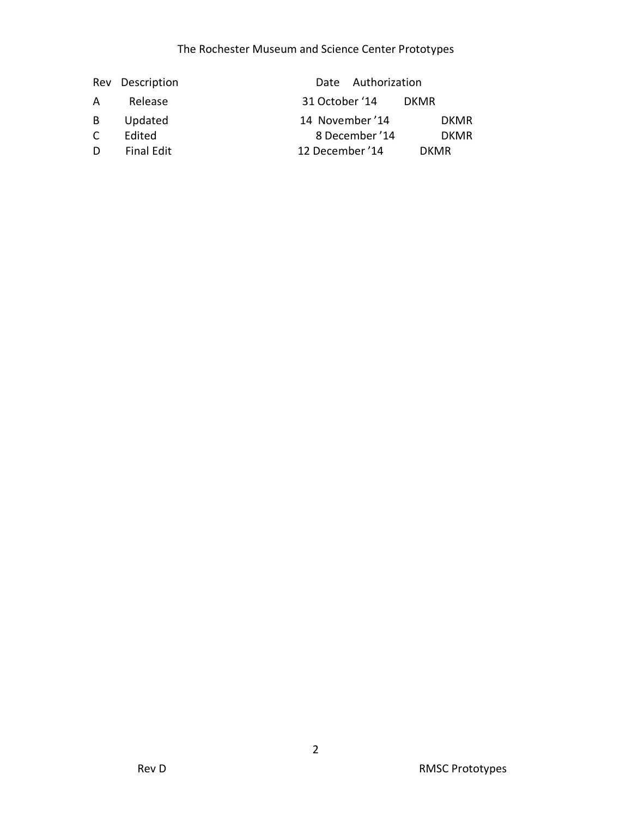### The Rochester Museum and Science Center Prototypes

|   | Rev Description   | Date Authorization             |
|---|-------------------|--------------------------------|
| A | Release           | 31 October '14<br><b>DKMR</b>  |
| B | Updated           | 14 November '14<br><b>DKMR</b> |
| C | Edited            | 8 December '14<br><b>DKMR</b>  |
| D | <b>Final Edit</b> | 12 December '14<br><b>DKMR</b> |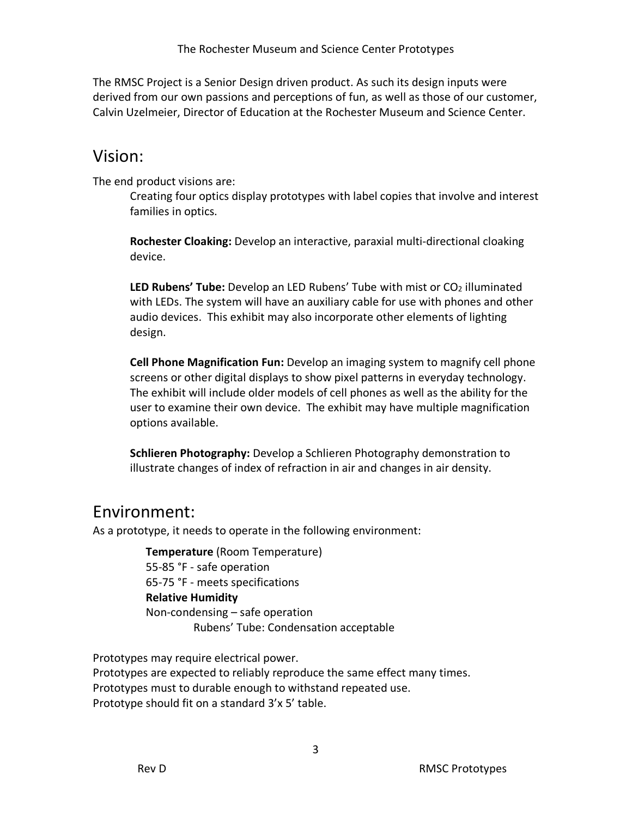The RMSC Project is a Senior Design driven product. As such its design inputs were derived from our own passions and perceptions of fun, as well as those of our customer, Calvin Uzelmeier, Director of Education at the Rochester Museum and Science Center.

### Vision:

The end product visions are:

Creating four optics display prototypes with label copies that involve and interest families in optics.

**Rochester Cloaking:** Develop an interactive, paraxial multi-directional cloaking device.

LED Rubens' Tube: Develop an LED Rubens' Tube with mist or CO<sub>2</sub> illuminated with LEDs. The system will have an auxiliary cable for use with phones and other audio devices. This exhibit may also incorporate other elements of lighting design.

**Cell Phone Magnification Fun:** Develop an imaging system to magnify cell phone screens or other digital displays to show pixel patterns in everyday technology. The exhibit will include older models of cell phones as well as the ability for the user to examine their own device. The exhibit may have multiple magnification options available.

**Schlieren Photography:** Develop a Schlieren Photography demonstration to illustrate changes of index of refraction in air and changes in air density.

## Environment:

As a prototype, it needs to operate in the following environment:

 **Temperature** (Room Temperature) 55-85 °F - safe operation 65-75 °F - meets specifications **Relative Humidity** Non-condensing – safe operation Rubens' Tube: Condensation acceptable

Prototypes may require electrical power. Prototypes are expected to reliably reproduce the same effect many times. Prototypes must to durable enough to withstand repeated use. Prototype should fit on a standard 3'x 5' table.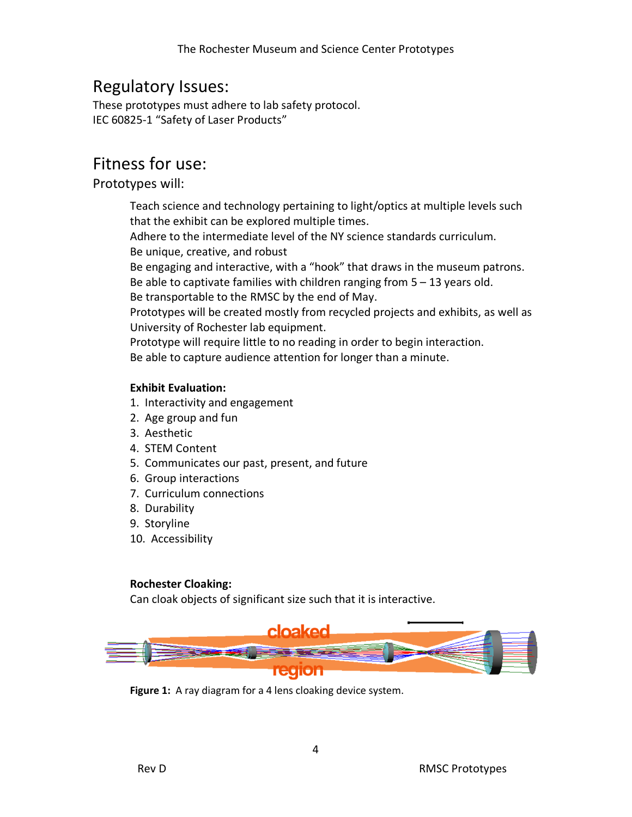# Regulatory Issues:

These prototypes must adhere to lab safety protocol. IEC 60825-1 "Safety of Laser Products"

# Fitness for use:

### Prototypes will:

Teach science and technology pertaining to light/optics at multiple levels such that the exhibit can be explored multiple times.

Adhere to the intermediate level of the NY science standards curriculum. Be unique, creative, and robust

Be engaging and interactive, with a "hook" that draws in the museum patrons.

Be able to captivate families with children ranging from 5 – 13 years old.

Be transportable to the RMSC by the end of May.

Prototypes will be created mostly from recycled projects and exhibits, as well as University of Rochester lab equipment.

Prototype will require little to no reading in order to begin interaction. Be able to capture audience attention for longer than a minute.

#### **Exhibit Evaluation:**

- 1. Interactivity and engagement
- 2. Age group and fun
- 3. Aesthetic
- 4. STEM Content
- 5. Communicates our past, present, and future
- 6. Group interactions
- 7. Curriculum connections
- 8. Durability
- 9. Storyline
- 10. Accessibility

#### **Rochester Cloaking:**

Can cloak objects of significant size such that it is interactive.



**Figure 1:** A ray diagram for a 4 lens cloaking device system.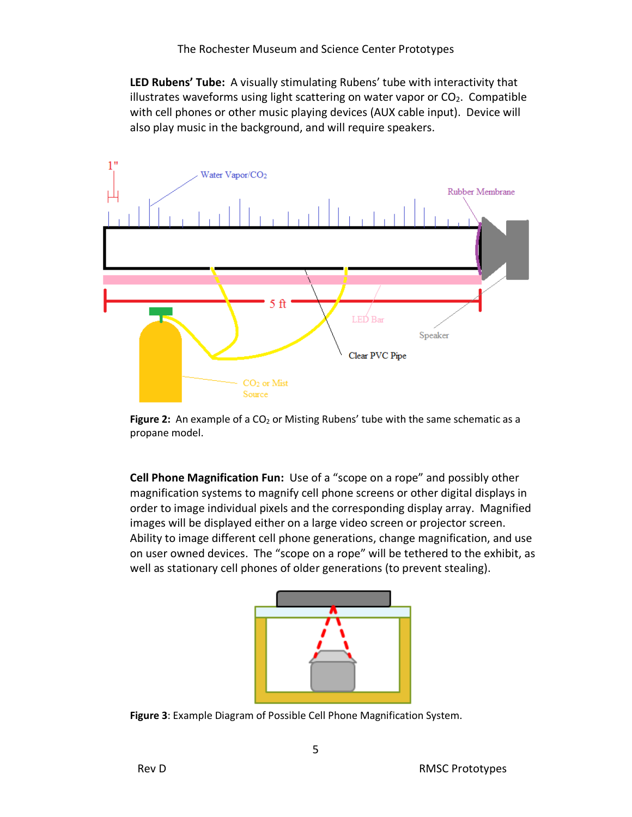**LED Rubens' Tube:** A visually stimulating Rubens' tube with interactivity that illustrates waveforms using light scattering on water vapor or  $CO<sub>2</sub>$ . Compatible with cell phones or other music playing devices (AUX cable input). Device will also play music in the background, and will require speakers.



Figure 2: An example of a CO<sub>2</sub> or Misting Rubens' tube with the same schematic as a propane model.

**Cell Phone Magnification Fun:** Use of a "scope on a rope" and possibly other magnification systems to magnify cell phone screens or other digital displays in order to image individual pixels and the corresponding display array. Magnified images will be displayed either on a large video screen or projector screen. Ability to image different cell phone generations, change magnification, and use on user owned devices. The "scope on a rope" will be tethered to the exhibit, as well as stationary cell phones of older generations (to prevent stealing).



**Figure 3**: Example Diagram of Possible Cell Phone Magnification System.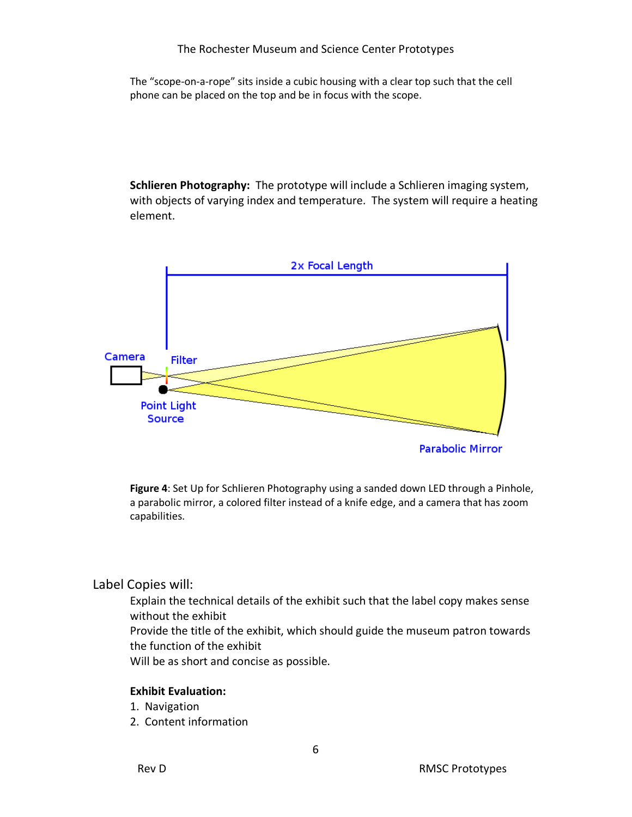The "scope-on-a-rope" sits inside a cubic housing with a clear top such that the cell phone can be placed on the top and be in focus with the scope.

**Schlieren Photography:** The prototype will include a Schlieren imaging system, with objects of varying index and temperature. The system will require a heating element.



**Figure 4**: Set Up for Schlieren Photography using a sanded down LED through a Pinhole, a parabolic mirror, a colored filter instead of a knife edge, and a camera that has zoom capabilities.

### Label Copies will:

Explain the technical details of the exhibit such that the label copy makes sense without the exhibit Provide the title of the exhibit, which should guide the museum patron towards

the function of the exhibit

Will be as short and concise as possible.

#### **Exhibit Evaluation:**

- 1. Navigation
- 2. Content information